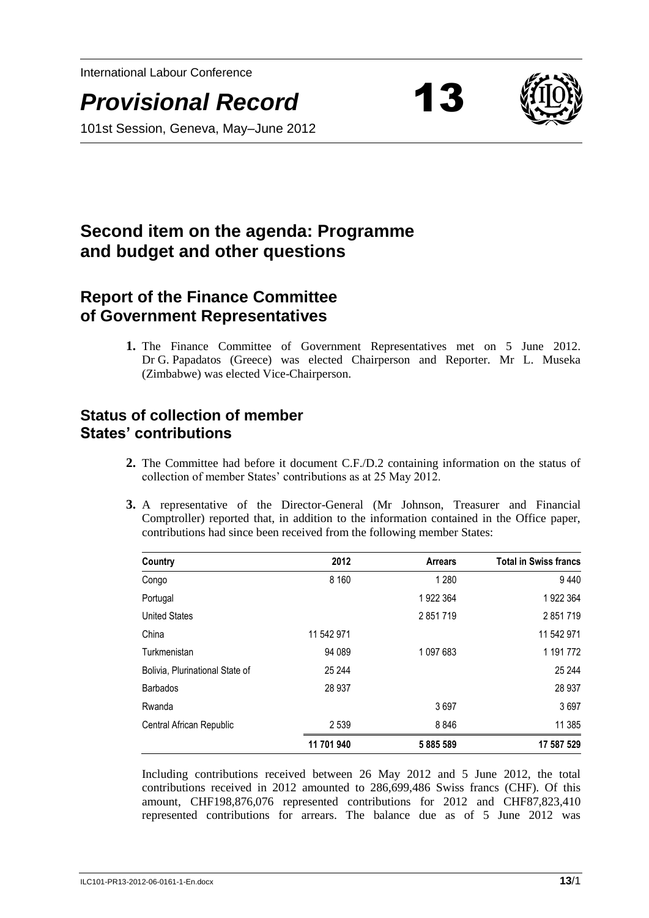International Labour Conference

*Provisional Record* 13



101st Session, Geneva, May–June 2012

# **Second item on the agenda: Programme and budget and other questions**

## **Report of the Finance Committee of Government Representatives**

**1.** The Finance Committee of Government Representatives met on 5 June 2012. Dr G. Papadatos (Greece) was elected Chairperson and Reporter. Mr L. Museka (Zimbabwe) was elected Vice-Chairperson.

## **Status of collection of member States' contributions**

- **2.** The Committee had before it document C.F./D.2 containing information on the status of collection of member States' contributions as at 25 May 2012.
- **3.** A representative of the Director-General (Mr Johnson, Treasurer and Financial Comptroller) reported that, in addition to the information contained in the Office paper, contributions had since been received from the following member States:

| Country                         | 2012       | <b>Arrears</b> | <b>Total in Swiss francs</b> |
|---------------------------------|------------|----------------|------------------------------|
| Congo                           | 8 1 6 0    | 1 2 8 0        | 9440                         |
| Portugal                        |            | 1922 364       | 1922 364                     |
| <b>United States</b>            |            | 2851719        | 2 851 719                    |
| China                           | 11 542 971 |                | 11 542 971                   |
| Turkmenistan                    | 94 089     | 1 097 683      | 1 191 772                    |
| Bolivia, Plurinational State of | 25 244     |                | 25 244                       |
| <b>Barbados</b>                 | 28 9 37    |                | 28 937                       |
| Rwanda                          |            | 3697           | 3697                         |
| Central African Republic        | 2 5 3 9    | 8846           | 11 385                       |
|                                 | 11 701 940 | 5885589        | 17 587 529                   |

Including contributions received between 26 May 2012 and 5 June 2012, the total contributions received in 2012 amounted to 286,699,486 Swiss francs (CHF). Of this amount, CHF198,876,076 represented contributions for 2012 and CHF87,823,410 represented contributions for arrears. The balance due as of 5 June 2012 was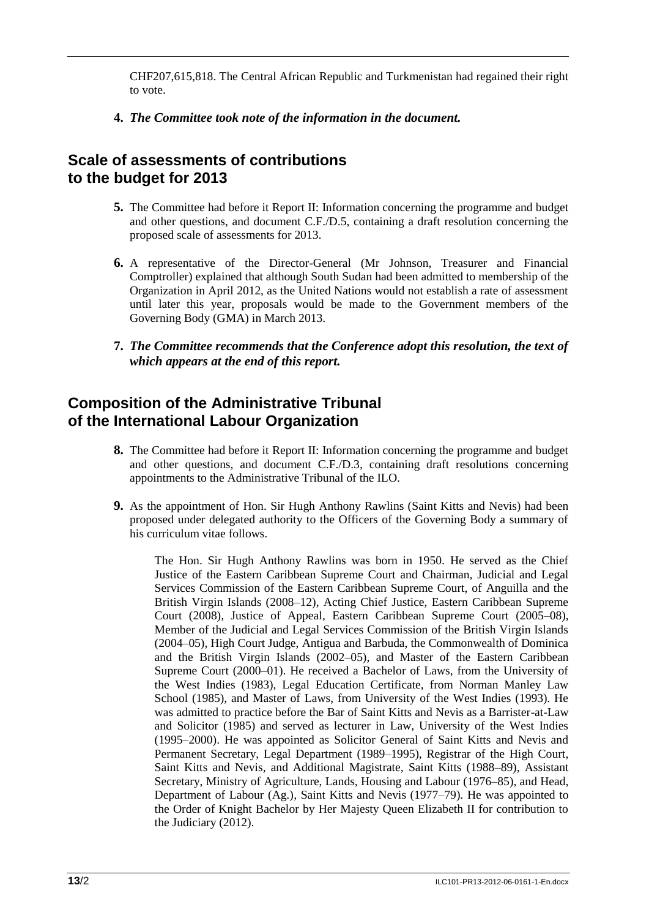CHF207,615,818. The Central African Republic and Turkmenistan had regained their right to vote.

#### **4.** *The Committee took note of the information in the document.*

### **Scale of assessments of contributions to the budget for 2013**

- **5.** The Committee had before it Report II: Information concerning the programme and budget and other questions, and document C.F./D.5, containing a draft resolution concerning the proposed scale of assessments for 2013.
- **6.** A representative of the Director-General (Mr Johnson, Treasurer and Financial Comptroller) explained that although South Sudan had been admitted to membership of the Organization in April 2012, as the United Nations would not establish a rate of assessment until later this year, proposals would be made to the Government members of the Governing Body (GMA) in March 2013.
- **7.** *The Committee recommends that the Conference adopt this resolution, the text of which appears at the end of this report.*

## **Composition of the Administrative Tribunal of the International Labour Organization**

- **8.** The Committee had before it Report II: Information concerning the programme and budget and other questions, and document C.F./D.3, containing draft resolutions concerning appointments to the Administrative Tribunal of the ILO.
- **9.** As the appointment of Hon. Sir Hugh Anthony Rawlins (Saint Kitts and Nevis) had been proposed under delegated authority to the Officers of the Governing Body a summary of his curriculum vitae follows.

The Hon. Sir Hugh Anthony Rawlins was born in 1950. He served as the Chief Justice of the Eastern Caribbean Supreme Court and Chairman, Judicial and Legal Services Commission of the Eastern Caribbean Supreme Court, of Anguilla and the British Virgin Islands (2008–12), Acting Chief Justice, Eastern Caribbean Supreme Court (2008), Justice of Appeal, Eastern Caribbean Supreme Court (2005–08), Member of the Judicial and Legal Services Commission of the British Virgin Islands (2004–05), High Court Judge, Antigua and Barbuda, the Commonwealth of Dominica and the British Virgin Islands (2002–05), and Master of the Eastern Caribbean Supreme Court (2000–01). He received a Bachelor of Laws, from the University of the West Indies (1983), Legal Education Certificate, from Norman Manley Law School (1985), and Master of Laws, from University of the West Indies (1993). He was admitted to practice before the Bar of Saint Kitts and Nevis as a Barrister-at-Law and Solicitor (1985) and served as lecturer in Law, University of the West Indies (1995–2000). He was appointed as Solicitor General of Saint Kitts and Nevis and Permanent Secretary, Legal Department (1989–1995), Registrar of the High Court, Saint Kitts and Nevis, and Additional Magistrate, Saint Kitts (1988–89), Assistant Secretary, Ministry of Agriculture, Lands, Housing and Labour (1976–85), and Head, Department of Labour (Ag.), Saint Kitts and Nevis (1977–79). He was appointed to the Order of Knight Bachelor by Her Majesty Queen Elizabeth II for contribution to the Judiciary (2012).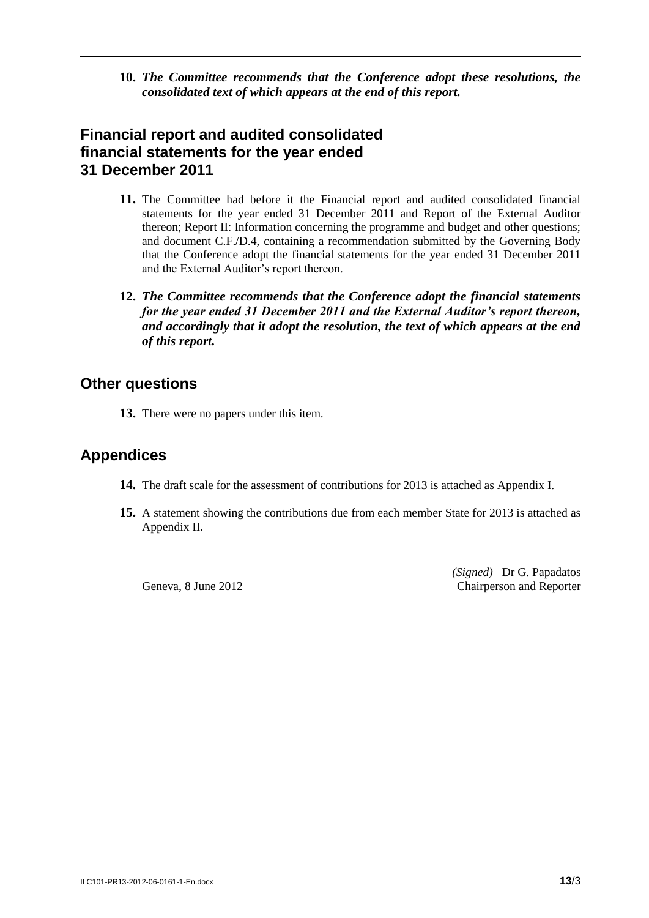**10.** *The Committee recommends that the Conference adopt these resolutions, the consolidated text of which appears at the end of this report.*

## **Financial report and audited consolidated financial statements for the year ended 31 December 2011**

- **11.** The Committee had before it the Financial report and audited consolidated financial statements for the year ended 31 December 2011 and Report of the External Auditor thereon; Report II: Information concerning the programme and budget and other questions; and document C.F./D.4, containing a recommendation submitted by the Governing Body that the Conference adopt the financial statements for the year ended 31 December 2011 and the External Auditor's report thereon.
- **12.** *The Committee recommends that the Conference adopt the financial statements for the year ended 31 December 2011 and the External Auditor's report thereon, and accordingly that it adopt the resolution, the text of which appears at the end of this report.*

#### **Other questions**

**13.** There were no papers under this item.

## **Appendices**

- **14.** The draft scale for the assessment of contributions for 2013 is attached as Appendix I.
- **15.** A statement showing the contributions due from each member State for 2013 is attached as Appendix II.

Geneva, 8 June 2012

*(Signed)* Dr G. Papadatos Chairperson and Reporter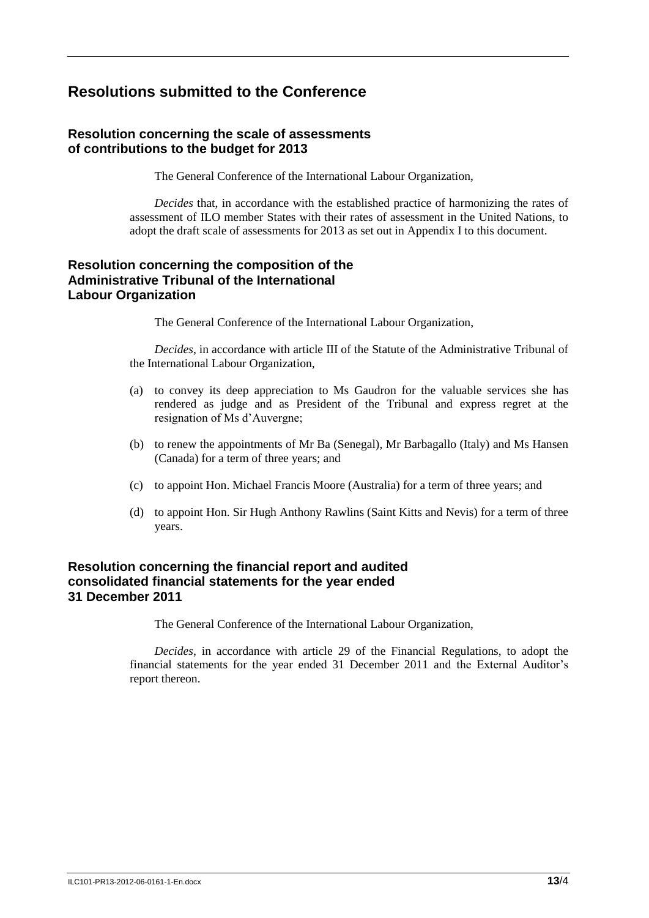## **Resolutions submitted to the Conference**

#### **Resolution concerning the scale of assessments of contributions to the budget for 2013**

The General Conference of the International Labour Organization,

*Decides* that, in accordance with the established practice of harmonizing the rates of assessment of ILO member States with their rates of assessment in the United Nations, to adopt the draft scale of assessments for 2013 as set out in Appendix I to this document.

#### **Resolution concerning the composition of the Administrative Tribunal of the International Labour Organization**

The General Conference of the International Labour Organization,

*Decides*, in accordance with article III of the Statute of the Administrative Tribunal of the International Labour Organization,

- (a) to convey its deep appreciation to Ms Gaudron for the valuable services she has rendered as judge and as President of the Tribunal and express regret at the resignation of Ms d'Auvergne;
- (b) to renew the appointments of Mr Ba (Senegal), Mr Barbagallo (Italy) and Ms Hansen (Canada) for a term of three years; and
- (c) to appoint Hon. Michael Francis Moore (Australia) for a term of three years; and
- (d) to appoint Hon. Sir Hugh Anthony Rawlins (Saint Kitts and Nevis) for a term of three years.

#### **Resolution concerning the financial report and audited consolidated financial statements for the year ended 31 December 2011**

The General Conference of the International Labour Organization,

*Decides*, in accordance with article 29 of the Financial Regulations, to adopt the financial statements for the year ended 31 December 2011 and the External Auditor's report thereon.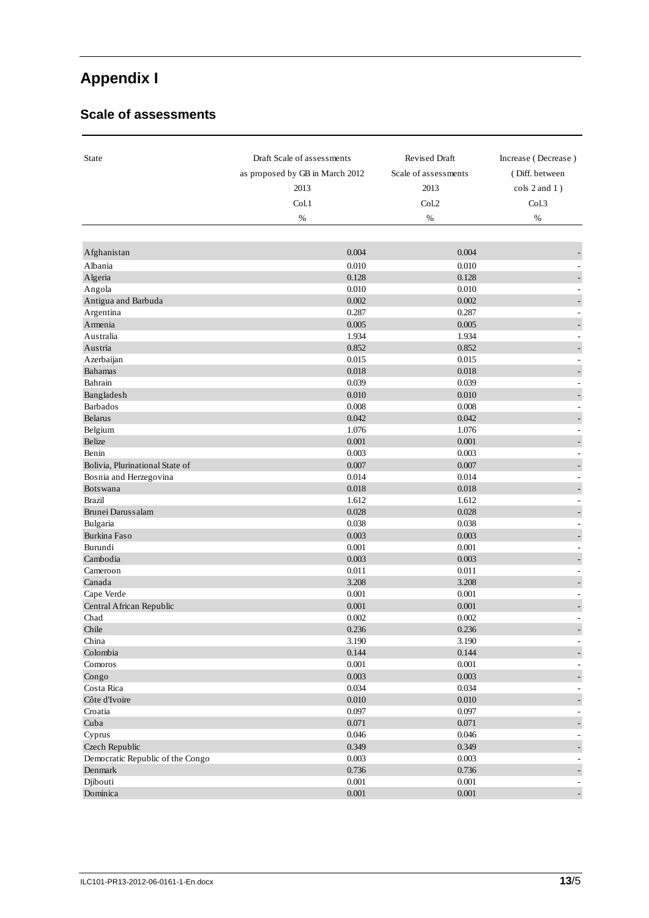# **Appendix I**

#### **Scale of assessments**

| <b>State</b>                     | Draft Scale of assessments      | Revised Draft        | Increase (Decrease)      |
|----------------------------------|---------------------------------|----------------------|--------------------------|
|                                  | as proposed by GB in March 2012 | Scale of assessments | (Diff. between           |
|                                  | 2013                            | 2013                 | $\cosh 2$ and $1$ )      |
|                                  | Col.1                           | Col.2                | Col.3                    |
|                                  | %                               | %                    | %                        |
|                                  |                                 |                      |                          |
|                                  | 0.004                           | 0.004                |                          |
| Afghanistan                      |                                 |                      |                          |
| Albania                          | 0.010                           | 0.010                |                          |
| Algeria                          | 0.128                           | 0.128<br>0.010       |                          |
| Angola                           | 0.010                           |                      |                          |
| Antigua and Barbuda              | 0.002                           | 0.002                |                          |
| Argentina                        | 0.287                           | 0.287                | ÷                        |
| Armenia                          | 0.005                           | 0.005                | ÷,                       |
| Australia                        | 1.934                           | 1.934                | ÷                        |
| Austria                          | 0.852                           | 0.852                |                          |
| Azerbaijan                       | 0.015                           | 0.015                |                          |
| <b>Bahamas</b>                   | 0.018                           | 0.018                | ÷                        |
| Bahrain                          | 0.039                           | 0.039                |                          |
| Bangladesh                       | 0.010                           | 0.010                |                          |
| <b>Barbados</b>                  | 0.008                           | 0.008                |                          |
| Belarus                          | 0.042                           | 0.042                |                          |
| Belgium                          | 1.076                           | 1.076                |                          |
| Belize                           | 0.001                           | 0.001                |                          |
| Benin                            | 0.003                           | 0.003                |                          |
| Bolivia, Plurinational State of  | 0.007                           | 0.007                |                          |
| Bosnia and Herzegovina           | 0.014                           | 0.014                | ÷,                       |
| <b>Botswana</b>                  | 0.018                           | 0.018                | ÷,                       |
| <b>Brazil</b>                    | 1.612                           | 1.612                |                          |
| Brunei Darussalam                | 0.028                           | 0.028                | $\overline{a}$           |
| Bulgaria                         | 0.038                           | 0.038                |                          |
| Burkina Faso                     | 0.003                           | 0.003                |                          |
| Burundi                          | 0.001                           | 0.001                |                          |
| Cambodia                         | 0.003                           | 0.003                |                          |
| Cameroon                         | 0.011                           | 0.011                |                          |
| Canada                           | 3.208                           | 3.208                |                          |
| Cape Verde                       | 0.001                           | 0.001                | $\overline{\phantom{a}}$ |
| Central African Republic         | 0.001                           | 0.001                | ÷,                       |
| Chad                             | 0.002                           | 0.002                |                          |
| Chile                            | 0.236                           | 0.236                |                          |
| China                            | 3.190                           | 3.190                |                          |
| Colombia                         | 0.144                           | 0.144                |                          |
| Comoros                          | 0.001                           | 0.001                |                          |
| Congo                            | 0.003                           | 0.003                |                          |
| Costa Rica                       | 0.034                           | 0.034                |                          |
| Côte d'Ivoire                    | 0.010                           | 0.010                |                          |
| Croatia                          | 0.097                           | 0.097                |                          |
| Cuba                             | 0.071                           | 0.071                | F                        |
| Cyprus                           | 0.046                           | 0.046                |                          |
| Czech Republic                   | 0.349                           | 0.349                |                          |
| Democratic Republic of the Congo | 0.003                           | 0.003                |                          |
| Denmark                          | 0.736                           | 0.736                | ÷,                       |
| Djibouti                         | $0.001\,$                       | 0.001                |                          |
| Dominica                         | 0.001                           | 0.001                | ÷                        |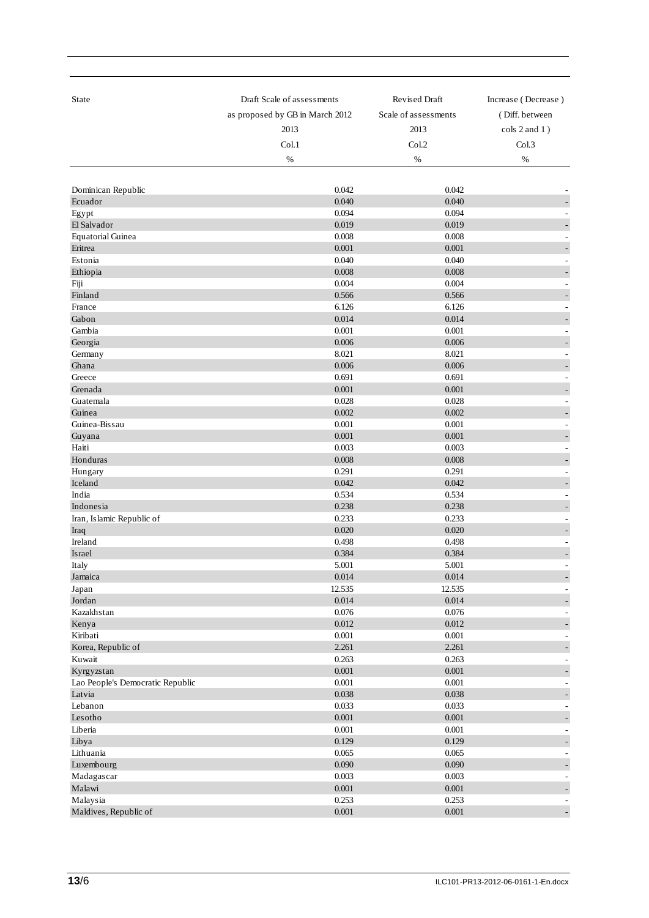| <b>State</b>                                   | Draft Scale of assessments      | Revised Draft        | Increase (Decrease)           |
|------------------------------------------------|---------------------------------|----------------------|-------------------------------|
|                                                | as proposed by GB in March 2012 | Scale of assessments | (Diff. between                |
|                                                | 2013                            | 2013                 | cols 2 and 1)                 |
|                                                | Col.1                           | Col.2                | Col.3                         |
|                                                | %                               | %                    | %                             |
|                                                |                                 |                      |                               |
|                                                | 0.042                           | 0.042                |                               |
| Dominican Republic<br>Ecuador                  | 0.040                           | 0.040                |                               |
| Egypt                                          | 0.094                           | 0.094                | $\sim$                        |
| El Salvador                                    | 0.019                           | 0.019                |                               |
| <b>Equatorial Guinea</b>                       | 0.008                           | 0.008                |                               |
| Eritrea                                        | 0.001                           | 0.001                | $\overline{\phantom{0}}$      |
| Estonia                                        | 0.040                           | 0.040                |                               |
| Ethiopia                                       | 0.008                           | 0.008                | $\overline{\phantom{a}}$      |
| Fiji                                           | 0.004                           | 0.004                | ٠                             |
| Finland                                        | 0.566                           | 0.566                | ٠                             |
| France                                         | 6.126                           | 6.126                |                               |
| Gabon                                          | 0.014                           | 0.014                |                               |
| Gambia                                         | 0.001<br>0.006                  | 0.001<br>0.006       |                               |
| Georgia<br>Germany                             | 8.021                           | 8.021                | ٠                             |
| Ghana                                          | 0.006                           | 0.006                |                               |
| Greece                                         | 0.691                           | 0.691                | $\sim$                        |
| Grenada                                        | 0.001                           | 0.001                |                               |
| Guatemala                                      | 0.028                           | 0.028                | $\overline{\phantom{a}}$      |
| Guinea                                         | 0.002                           | 0.002                | $\overline{\phantom{a}}$      |
| Guinea-Bissau                                  | 0.001                           | 0.001                | ÷                             |
| Guyana                                         | 0.001                           | 0.001                |                               |
| Haiti                                          | 0.003                           | 0.003                |                               |
| Honduras                                       | 0.008                           | 0.008                |                               |
| Hungary                                        | 0.291                           | 0.291                | $\sim$                        |
| Iceland                                        | 0.042                           | 0.042                |                               |
| India                                          | 0.534                           | 0.534                | $\sim$                        |
| Indonesia                                      | 0.238                           | 0.238                | $\overline{\phantom{0}}$      |
| Iran, Islamic Republic of<br>Iraq              | 0.233<br>0.020                  | 0.233<br>0.020       | ٠                             |
| Ireland                                        | 0.498                           | 0.498                | ÷,                            |
| Israel                                         | 0.384                           | 0.384                | $\overline{\phantom{a}}$      |
| Italy                                          | 5.001                           | 5.001                |                               |
| Jamaica                                        | 0.014                           | 0.014                | $\overline{\phantom{a}}$      |
| Japan                                          | 12.535                          | 12.535               | $\sim$                        |
| Jordan                                         | 0.014                           | 0.014                |                               |
| Kazakhstan                                     | 0.076                           | 0.076                | $\overline{\phantom{a}}$      |
| Kenya                                          | 0.012                           | 0.012                | $\overline{\phantom{a}}$      |
| Kiribati                                       | 0.001                           | 0.001                | $\overline{\phantom{a}}$      |
| Korea, Republic of                             | 2.261                           | 2.261                | $\overline{\phantom{0}}$      |
| Kuwait                                         | 0.263                           | 0.263                | $\overline{\phantom{a}}$      |
| Kyrgyzstan<br>Lao People's Democratic Republic | $0.001\,$                       | $0.001\,$<br>0.001   | $\overline{\phantom{a}}$      |
| Latvia                                         | $0.001\,$<br>0.038              | 0.038                | $\overline{\phantom{a}}$      |
| Lebanon                                        | 0.033                           | 0.033                | -<br>$\overline{\phantom{a}}$ |
| Lesotho                                        | $0.001\,$                       | $0.001\,$            |                               |
| Liberia                                        | 0.001                           | 0.001                | $\overline{\phantom{a}}$      |
| Libya                                          | 0.129                           | 0.129                | $\overline{\phantom{a}}$      |
| Lithuania                                      | 0.065                           | 0.065                | $\sim$                        |
| Luxembourg                                     | 0.090                           | 0.090                | $\overline{\phantom{0}}$      |
| Madagascar                                     | 0.003                           | 0.003                | $\overline{\phantom{a}}$      |
| Malawi                                         | $0.001\,$                       | $0.001\,$            | $\qquad \qquad \blacksquare$  |
| Malaysia                                       | 0.253                           | 0.253                | $\overline{\phantom{a}}$      |
| Maldives, Republic of                          | $0.001\,$                       | 0.001                | $\overline{\phantom{a}}$      |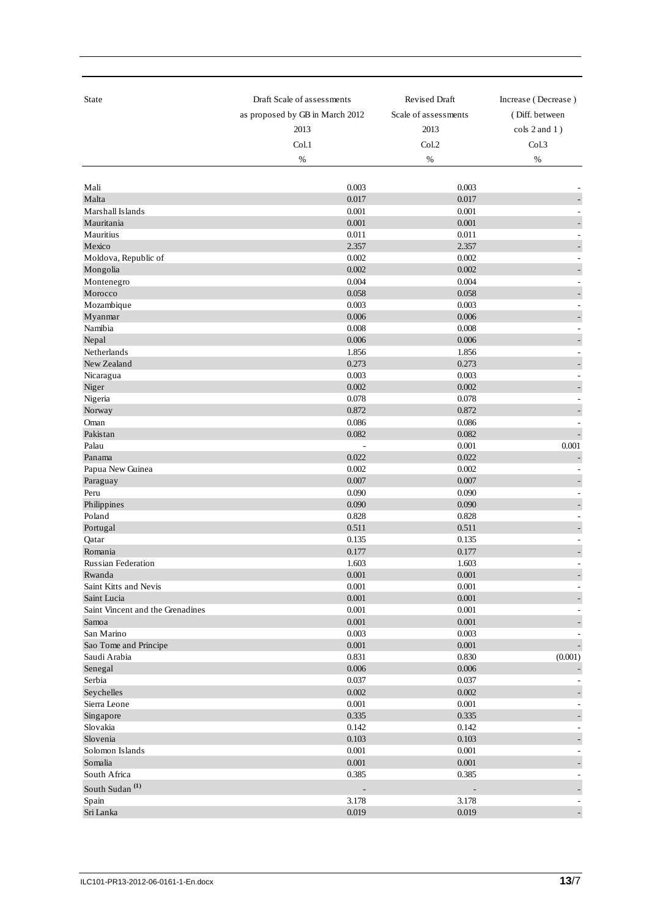| State                            | Draft Scale of assessments      | <b>Revised Draft</b> | Increase (Decrease)          |
|----------------------------------|---------------------------------|----------------------|------------------------------|
|                                  | as proposed by GB in March 2012 | Scale of assessments | (Diff. between               |
|                                  | 2013                            | 2013                 | cols 2 and 1)                |
|                                  | Col.1                           | Col.2                | Col.3                        |
|                                  | %                               | %                    | %                            |
|                                  |                                 |                      |                              |
| Mali                             | 0.003                           | 0.003                |                              |
| Malta                            | 0.017                           | 0.017                |                              |
| Marshall Islands                 | 0.001                           | 0.001                |                              |
| Mauritania                       | 0.001                           | 0.001                | ÷,                           |
| Mauritius                        | 0.011                           | 0.011                |                              |
| Mexico                           | 2.357                           | 2.357                |                              |
| Moldova, Republic of             | 0.002                           | 0.002                |                              |
| Mongolia                         | 0.002                           | 0.002                |                              |
| Montenegro                       | 0.004                           | 0.004                |                              |
| Morocco                          | 0.058                           | 0.058                |                              |
| Mozambique<br>Myanmar            | 0.003<br>0.006                  | 0.003<br>0.006       | $\sim$                       |
| Namibia                          | 0.008                           | 0.008                |                              |
| Nepal                            | 0.006                           | 0.006                |                              |
| Netherlands                      | 1.856                           | 1.856                |                              |
| New Zealand                      | 0.273                           | 0.273                |                              |
| Nicaragua                        | 0.003                           | 0.003                |                              |
| Niger                            | 0.002                           | 0.002                |                              |
| Nigeria                          | 0.078                           | 0.078                |                              |
| Norway                           | 0.872                           | 0.872                |                              |
| Oman                             | 0.086                           | 0.086                | ÷,                           |
| Pakistan                         | 0.082                           | 0.082                | $\overline{a}$               |
| Palau                            | L,                              | 0.001                | 0.001                        |
| Panama                           | 0.022                           | 0.022                | ÷                            |
| Papua New Guinea                 | 0.002                           | 0.002                |                              |
| Paraguay                         | 0.007                           | 0.007                |                              |
| Peru                             | 0.090                           | 0.090                |                              |
| Philippines<br>Poland            | 0.090<br>0.828                  | 0.090<br>0.828       |                              |
| Portugal                         | 0.511                           | 0.511                |                              |
| Qatar                            | 0.135                           | 0.135                |                              |
| Romania                          | 0.177                           | 0.177                |                              |
| Russian Federation               | 1.603                           | 1.603                |                              |
| Rwanda                           | 0.001                           | 0.001                | $\overline{\phantom{a}}$     |
| Saint Kitts and Nevis            | 0.001                           | 0.001                |                              |
| Saint Lucia                      | 0.001                           | 0.001                |                              |
| Saint Vincent and the Grenadines | 0.001                           | 0.001                |                              |
| Samoa                            | 0.001                           | 0.001                | $\qquad \qquad \blacksquare$ |
| San Marino                       | 0.003                           | 0.003                |                              |
| Sao Tome and Principe            | 0.001                           | $0.001\,$            | $\Box$                       |
| Saudi Arabia                     | 0.831<br>0.006                  | 0.830                | (0.001)                      |
| Senegal<br>Serbia                | 0.037                           | 0.006<br>0.037       |                              |
| Seychelles                       | 0.002                           | 0.002                |                              |
| Sierra Leone                     | $0.001\,$                       | $0.001\,$            | $\sim$                       |
| Singapore                        | 0.335                           | 0.335                |                              |
| Slovakia                         | 0.142                           | 0.142                |                              |
| Slovenia                         | 0.103                           | 0.103                |                              |
| Solomon Islands                  | 0.001                           | $0.001\,$            |                              |
| Somalia                          | 0.001                           | $0.001\,$            |                              |
| South Africa                     | 0.385                           | 0.385                |                              |
| South Sudan <sup>(1)</sup>       |                                 |                      |                              |
| Spain                            | 3.178                           | 3.178                |                              |
| Sri Lanka                        | 0.019                           | 0.019                |                              |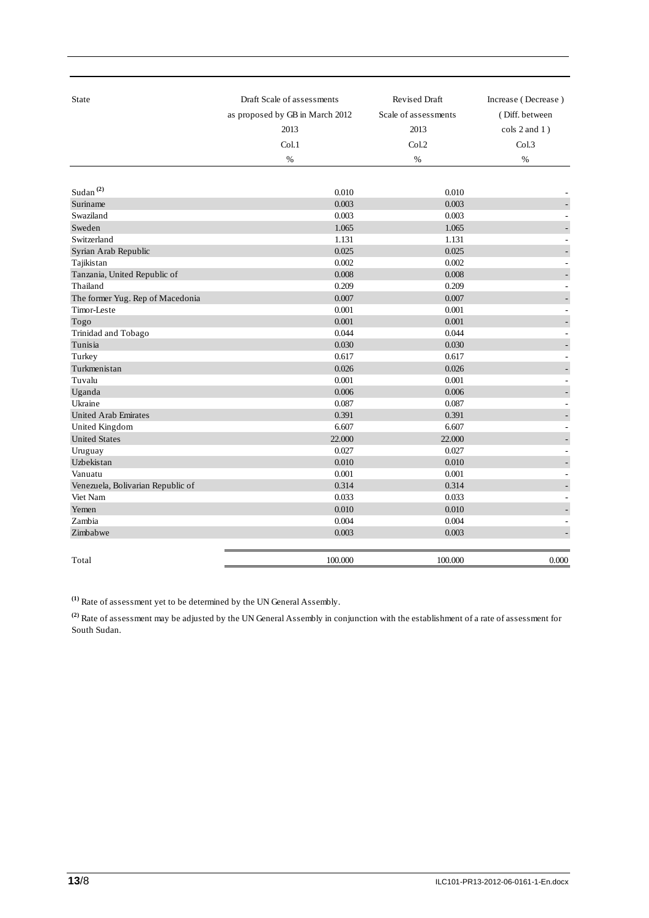| State                             | Draft Scale of assessments      | <b>Revised Draft</b> | Increase (Decrease) |
|-----------------------------------|---------------------------------|----------------------|---------------------|
|                                   | as proposed by GB in March 2012 | Scale of assessments | (Diff. between      |
|                                   | 2013                            | 2013                 | $\cosh 2$ and $1$ ) |
|                                   | Col.1                           | Col.2                | Col.3               |
|                                   | $\%$                            | $\%$                 | %                   |
|                                   |                                 |                      |                     |
| Sudan <sup>(2)</sup>              | 0.010                           | 0.010                |                     |
| Suriname                          | 0.003                           | 0.003                |                     |
| Swaziland                         | 0.003                           | 0.003                |                     |
| Sweden                            | 1.065                           | 1.065                |                     |
| Switzerland                       | 1.131                           | 1.131                |                     |
| Syrian Arab Republic              | 0.025                           | 0.025                |                     |
| Tajikistan                        | 0.002                           | 0.002                |                     |
| Tanzania, United Republic of      | $0.008\,$                       | 0.008                |                     |
| Thailand                          | 0.209                           | 0.209                |                     |
| The former Yug. Rep of Macedonia  | 0.007                           | 0.007                |                     |
| Timor-Leste                       | 0.001                           | 0.001                |                     |
| Togo                              | 0.001                           | 0.001                |                     |
| Trinidad and Tobago               | 0.044                           | 0.044                | ÷                   |
| Tunisia                           | 0.030                           | 0.030                |                     |
| Turkey                            | 0.617                           | 0.617                |                     |
| Turkmenistan                      | 0.026                           | 0.026                |                     |
| Tuvalu                            | 0.001                           | 0.001                |                     |
| Uganda                            | 0.006                           | 0.006                |                     |
| Ukraine                           | 0.087                           | 0.087                |                     |
| <b>United Arab Emirates</b>       | 0.391                           | 0.391                |                     |
| United Kingdom                    | 6.607                           | 6.607                |                     |
| <b>United States</b>              | 22.000                          | 22.000               |                     |
| Uruguay                           | 0.027                           | 0.027                |                     |
| Uzbekistan                        | 0.010                           | 0.010                |                     |
| Vanuatu                           | 0.001                           | 0.001                |                     |
| Venezuela, Bolivarian Republic of | 0.314                           | 0.314                |                     |
| Viet Nam                          | 0.033                           | 0.033                |                     |
| Yemen                             | 0.010                           | 0.010                |                     |
| Zambia                            | 0.004                           | 0.004                |                     |
| Zimbabwe                          | 0.003                           | 0.003                |                     |
|                                   |                                 |                      |                     |
| Total                             | 100.000                         | 100.000              | 0.000               |

**(1)** Rate of assessment yet to be determined by the UN General Assembly.

**(2)** Rate of assessment may be adjusted by the UN General Assembly in conjunction with the establishment of a rate of assessment for South Sudan.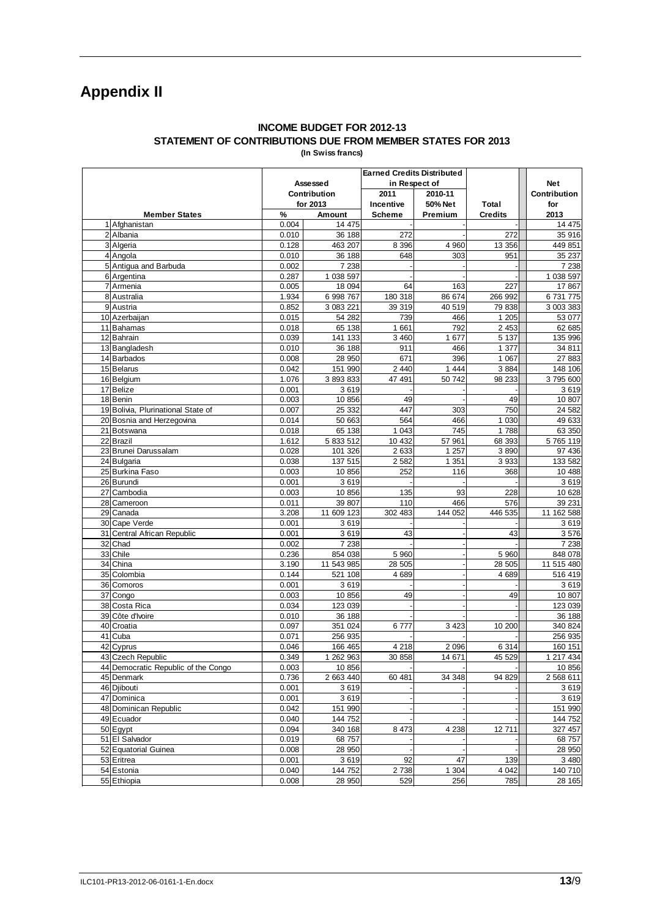# **Appendix II**

#### **INCOME BUDGET FOR 2012-13 STATEMENT OF CONTRIBUTIONS DUE FROM MEMBER STATES FOR 2013 (In Swiss francs)**

|                                     |       |              | <b>Earned Credits Distributed</b> |                |                |                   |
|-------------------------------------|-------|--------------|-----------------------------------|----------------|----------------|-------------------|
|                                     |       | Assessed     |                                   | in Respect of  |                | <b>Net</b>        |
|                                     |       | Contribution | 2011                              | 2010-11        |                | Contribution      |
|                                     |       | for 2013     | Incentive                         | 50% Net        | Total          | for               |
| <b>Member States</b>                | %     | Amount       | <b>Scheme</b>                     | Premium        | <b>Credits</b> | 2013              |
| 1 Afghanistan                       | 0.004 | 14 475       |                                   |                |                | 14475             |
| 2 Albania                           | 0.010 | 36 188       | 272                               |                | 272            | 35 916            |
| 3 Algeria                           | 0.128 | 463 207      | 8 3 9 6                           | 4 9 6 0        | 13 356         | 449 851           |
| 4 Angola                            | 0.010 | 36 188       | 648                               | 303            | 951            | 35 237            |
| 5 Antigua and Barbuda               | 0.002 | 7 2 3 8      |                                   |                |                | 7 2 3 8           |
| 6 Argentina                         | 0.287 | 1 038 597    |                                   |                |                | 1 038 597         |
| 7 Armenia                           | 0.005 | 18 094       | 64                                | 163            | 227            | 17867             |
| 8 Australia                         | 1.934 | 6 998 767    | 180 318                           | 86 674         | 266 992        | 6731775           |
| 9 Austria                           | 0.852 | 3 083 221    | 39 319                            | 40 519         | 79 838         | 3 003 383         |
| 10 Azerbaijan                       | 0.015 | 54 282       | 739                               | 466            | 1 205          | 53 077            |
| 11 Bahamas                          | 0.018 | 65 138       | 1 661                             | 792            | 2 4 5 3        | 62 685            |
| 12 Bahrain                          | 0.039 | 141 133      | 3 4 6 0                           | 1 677          | 5 1 3 7        | 135 996           |
| 13 Bangladesh                       | 0.010 | 36 188       | 911                               | 466            | 1 377          | 34 811            |
| 14 Barbados                         | 0.008 | 28 950       | 671                               | 396            | 1 0 6 7        | 27 883            |
| 15 Belarus                          | 0.042 | 151 990      | 2 4 4 0                           | 1 4 4 4        | 3884           | 148 106           |
| 16 Belgium                          | 1.076 | 3 893 833    | 47 491                            | 50 742         | 98 233         | 3795600           |
| 17 Belize                           | 0.001 | 3619         |                                   |                |                | 3619              |
| 18 Benin                            | 0.003 | 10 856       | 49                                |                | 49             | 10 807            |
| 19 Bolivia, Plurinational State of  | 0.007 | 25 332       | 447                               | 303            | 750            | 24 5 82           |
| 20 Bosnia and Herzegovina           | 0.014 | 50 663       | 564                               | 466            | 1 0 3 0        | 49 633            |
| 21 Botswana                         | 0.018 | 65 138       | 1 0 4 3                           | 745            | 1788           | 63 350            |
| 22 Brazil                           | 1.612 | 5 833 512    | 10 432                            | 57 961         | 68 393         | 5765119           |
| 23 Brunei Darussalam                | 0.028 | 101 326      | 2 6 3 3                           | 1 257          | 3890           | 97 436            |
| 24 Bulgaria                         | 0.038 | 137 515      | 2 5 8 2                           | 1 351          | 3933           | 133 582           |
| 25 Burkina Faso                     | 0.003 | 10856        | 252                               | 116            | 368            | 10 488            |
| 26 Burundi                          | 0.001 | 3619         |                                   |                |                | 3619              |
| 27 Cambodia                         | 0.003 | 10856        | 135                               | 93             | 228            | 10 628            |
| 28 Cameroon                         | 0.011 | 39 807       | 110                               | 466            | 576            | 39 231            |
| 29 Canada                           | 3.208 | 11 609 123   | 302 483                           | 144 052        | 446 535        | 11 162 588        |
| 30 Cape Verde                       | 0.001 | 3619         |                                   |                |                | 3619              |
| 31 Central African Republic         | 0.001 | 3619         | 43                                |                | 43             | 3576              |
| 32 Chad                             | 0.002 | 7 2 3 8      |                                   |                |                | 7 2 3 8           |
| 33 Chile                            | 0.236 | 854 038      | 5 9 6 0                           |                | 5 9 6 0        | 848 078           |
| 34 China                            | 3.190 | 11 543 985   | 28 505                            |                | 28 505         | 11 515 480        |
| 35 Colombia                         | 0.144 | 521 108      | 4689                              |                | 4689           | 516 419           |
| 36 Comoros                          | 0.001 | 3619         |                                   |                |                | 3619              |
| 37 Congo                            | 0.003 | 10856        | 49                                |                | 49             | 10 807            |
| 38 Costa Rica                       | 0.034 | 123 039      |                                   |                |                | 123 039           |
| 39 Côte d'Ivoire                    | 0.010 | 36 188       |                                   |                |                | 36 188            |
| 40 Croatia                          | 0.097 | 351 024      | 6777                              | 3 4 2 3        | 10 200         | 340 824           |
| 41 Cuba                             | 0.071 | 256 935      |                                   |                |                | 256 935           |
| 42 Cyprus                           | 0.046 | 166 465      | 4 2 1 8                           | 2 0 9 6        | 6 3 1 4        | 160 151           |
| 43 Czech Republic                   | 0.349 | 1 262 963    | 30 858                            | 14 671         | 45 529         | 1 217 434         |
| 44 Democratic Republic of the Congo | 0.003 | 10 856       |                                   |                |                | 10856             |
| 45 Denmark                          | 0.736 | 2 663 440    | 60 481                            | 34 348         | 94 829         | 2 568 611         |
| 46 Djibouti                         | 0.001 | 3619         |                                   |                |                | 3619              |
| 47 Dominica                         | 0.001 | 3619         |                                   |                |                | 3619              |
| 48 Dominican Republic               | 0.042 | 151 990      |                                   |                |                | 151 990           |
| 49 Ecuador                          | 0.040 | 144 752      |                                   |                |                | 144 752           |
| 50 Egypt                            | 0.094 | 340 168      | 8 4 7 3                           | 4 2 3 8        | 12711          | 327 457           |
| 51 El Salvador                      | 0.019 | 68 757       |                                   |                |                | 68757             |
| 52 Equatorial Guinea                | 0.008 | 28 950       |                                   |                |                | 28 950            |
| 53 Eritrea                          | 0.001 | 3619         | 92                                | 47             | 139            | 3480              |
|                                     | 0.040 | 144 752      | $\frac{1}{2}$ 738                 |                |                |                   |
| 54 Estonia<br>55 Ethiopia           |       | 28 950       |                                   | 1 3 0 4<br>256 | 4 0 4 2        | 140 710<br>28 165 |
|                                     | 0.008 |              | 529                               |                | 785            |                   |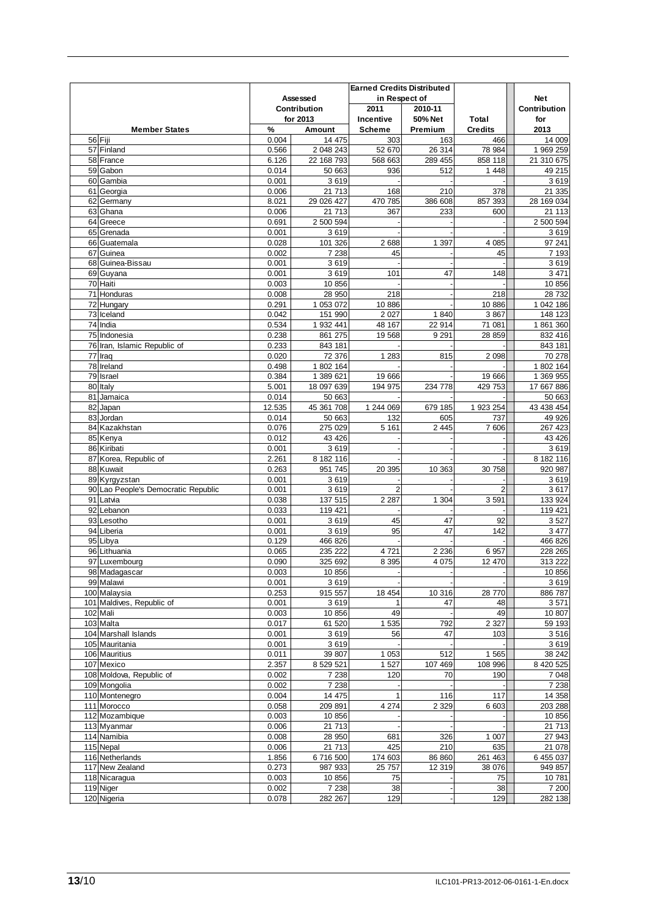|                                        |                | Assessed                | <b>Earned Credits Distributed</b><br>in Respect of |                    |                         | <b>Net</b>              |
|----------------------------------------|----------------|-------------------------|----------------------------------------------------|--------------------|-------------------------|-------------------------|
|                                        |                | Contribution            | 2011                                               | 2010-11            |                         | Contribution            |
| <b>Member States</b>                   | %              | for 2013<br>Amount      | Incentive<br><b>Scheme</b>                         | 50% Net<br>Premium | Total<br><b>Credits</b> | for<br>2013             |
| 56 Fiji                                | 0.004          | 14 475                  | 303                                                | 163                | 466                     | 14 009                  |
| 57 Finland                             | 0.566          | 2 048 243               | 52 670                                             | 26 314             | 78 984                  | 1 969 259               |
| 58 France                              | 6.126          | 22 168 793              | 568 663                                            | 289 455            | 858 118                 | 21 310 675              |
| 59 Gabon                               | 0.014          | 50 663                  | 936                                                | 512                | 1 4 4 8                 | 49 215                  |
| 60 Gambia                              | 0.001          | 3619                    |                                                    |                    |                         | 3619                    |
| 61 Georgia                             | 0.006          | 21 713                  | 168                                                | 210                | 378                     | 21 335                  |
| 62 Germany<br>63 Ghana                 | 8.021<br>0.006 | 29 026 427<br>21 713    | 470 785<br>367                                     | 386 608<br>233     | 857 393<br>600          | 28 169 034<br>21 113    |
| 64 Greece                              | 0.691          | 2 500 594               |                                                    |                    |                         | 2 500 594               |
| 65 Grenada                             | 0.001          | 3619                    |                                                    |                    |                         | 3619                    |
| 66 Guatemala                           | 0.028          | 101 326                 | 2688                                               | 1 3 9 7            | 4 0 8 5                 | 97 241                  |
| 67 Guinea                              | 0.002          | 7 2 3 8                 | 45                                                 |                    | 45                      | 7 1 9 3                 |
| 68 Guinea-Bissau                       | 0.001          | 3619                    |                                                    |                    |                         | 3619                    |
| 69 Guyana                              | 0.001          | 3619                    | 101                                                | 47                 | 148                     | 3 4 7 1                 |
| 70 Haiti<br>71 Honduras                | 0.003<br>0.008 | 10 856<br>28 950        | 218                                                |                    |                         | 10 856                  |
| 72 Hungary                             | 0.291          | 1 053 072               | 10 886                                             |                    | 218<br>10 886           | 28 732<br>1 042 186     |
| 73 Iceland                             | 0.042          | 151 990                 | 2 0 2 7                                            | 1840               | 3 8 6 7                 | 148 123                 |
| 74 India                               | 0.534          | 1 932 441               | 48 167                                             | 22 914             | 71 081                  | 1 861 360               |
| 75 Indonesia                           | 0.238          | 861 275                 | 19 5 68                                            | 9 2 9 1            | 28 859                  | 832 416                 |
| 76 Iran, Islamic Republic of           | 0.233          | 843 181                 |                                                    |                    |                         | 843 181                 |
| 77 Iraq                                | 0.020          | 72 376                  | 1 2 8 3                                            | 815                | 2 0 9 8                 | 70 278                  |
| 78 Ireland                             | 0.498          | 1 802 164               |                                                    |                    |                         | 1 802 164               |
| 79 Israel                              | 0.384<br>5.001 | 1 389 621<br>18 097 639 | 19 666<br>194 975                                  |                    | 19 666                  | 1 369 955<br>17 667 886 |
| 80 Italy<br>81 Jamaica                 | 0.014          | 50 663                  |                                                    | 234 778            | 429 753                 | 50 663                  |
| 82 Japan                               | 12.535         | 45 361 708              | 1 244 069                                          | 679 185            | 1 923 254               | 43 438 454              |
| 83 Jordan                              | 0.014          | 50 663                  | 132                                                | 605                | 737                     | 49 926                  |
| 84 Kazakhstan                          | 0.076          | 275 029                 | 5 1 6 1                                            | 2 4 4 5            | 7 60 6                  | 267 423                 |
| 85 Kenya                               | 0.012          | 43 4 26                 |                                                    |                    |                         | 43 4 26                 |
| 86 Kiribati                            | 0.001          | 3619                    |                                                    |                    |                         | 3619                    |
| 87 Korea, Republic of                  | 2.261          | 8 182 116               |                                                    |                    |                         | 8 182 116               |
| 88 Kuwait<br>89 Kyrgyzstan             | 0.263<br>0.001 | 951 745<br>3619         | 20 395                                             | 10 363             | 30 758                  | 920 987<br>3619         |
| 90 Lao People's Democratic Republic    | 0.001          | 3619                    | $\overline{2}$                                     |                    | $\overline{2}$          | 3617                    |
| 91 Latvia                              | 0.038          | 137 515                 | 2 2 8 7                                            | 1 304              | 3591                    | 133 924                 |
| 92 Lebanon                             | 0.033          | 119 421                 |                                                    |                    |                         | 119 421                 |
| 93 Lesotho                             | 0.001          | 3619                    | 45                                                 | 47                 | 92                      | 3527                    |
| 94 Liberia                             | 0.001          | 3619                    | 95                                                 | 47                 | 142                     | 3 477                   |
| 95 Libya                               | 0.129          | 466 826                 |                                                    |                    |                         | 466 826                 |
| 96 Lithuania<br>97 Luxembourg          | 0.065<br>0.090 | 235 222<br>325 692      | 4721<br>8 3 9 5                                    | 2 2 3 6<br>4 0 7 5 | 6 9 5 7<br>12 470       | 228 265<br>313 222      |
| 98 Madagascar                          | 0.003          | 10 856                  |                                                    |                    |                         | 10 856                  |
| 99 Malawi                              | 0.001          | 3619                    |                                                    |                    |                         | 3619                    |
| 100 Malaysia                           | 0.253          | 915 557                 | 18 4 54                                            | 10 316             | 28 770                  | 886 787                 |
| 101 Maldives, Republic of              | 0.001          | 3619                    | 1                                                  | 47                 | 48                      | 3571                    |
| 102 Mali                               | 0.003          | 10 856                  | 49                                                 |                    | 49                      | 10 807                  |
| 103 Malta                              | 0.017          | 61 520                  | 1 5 3 5                                            | 792                | 2 3 2 7                 | 59 193                  |
| 104 Marshall Islands<br>105 Mauritania | 0.001<br>0.001 | 3619<br>3619            | 56                                                 | 47                 | 103                     | 3516<br>3619            |
| 106 Mauritius                          | 0.011          | 39 807                  | 1 0 5 3                                            | 512                | 1 5 6 5                 | 38 24 2                 |
| 107 Mexico                             | 2.357          | 8 529 521               | 1527                                               | 107 469            | 108 996                 | 8 420 525               |
| 108 Moldova, Republic of               | 0.002          | 7 2 3 8                 | 120                                                | 70                 | 190                     | 7 0 48                  |
| 109 Mongolia                           | 0.002          | 7 2 3 8                 |                                                    |                    |                         | 7 2 3 8                 |
| 110 Montenegro                         | 0.004          | 14 475                  | 1                                                  | 116                | 117                     | 14 3 58                 |
| 111 Morocco                            | 0.058          | 209 891                 | 4 2 7 4                                            | 2 3 2 9            | 6 603                   | 203 288                 |
| 112 Mozambique                         | 0.003          | 10 856                  |                                                    |                    |                         | 10 856                  |
| 113 Myanmar                            | 0.006          | 21 713                  |                                                    |                    |                         | 21 713                  |
| 114 Namibia<br>115 Nepal               | 0.008<br>0.006 | 28 950<br>21 713        | 681<br>425                                         | 326<br>210         | 1 0 0 7<br>635          | 27 943<br>21 078        |
| 116 Netherlands                        | 1.856          | 6716500                 | 174 603                                            | 86 860             | 261 463                 | 6 455 037               |
| 117 New Zealand                        | 0.273          | 987 933                 | 25 757                                             | 12 319             | 38 076                  | 949 857                 |
| 118 Nicaragua                          | 0.003          | 10 856                  | 75                                                 |                    | 75                      | 10 781                  |
| 119 Niger                              | 0.002          | 7 2 3 8                 | 38                                                 |                    | 38                      | 7 200                   |
| 120 Nigeria                            | 0.078          | 282 267                 | 129                                                |                    | 129                     | 282 138                 |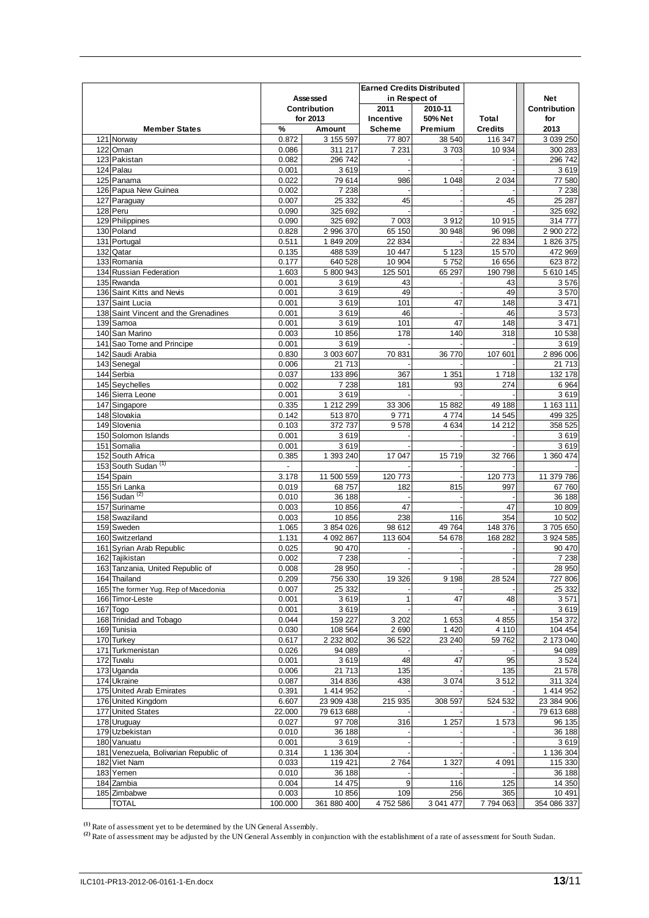|                                                       |                                   | Assessed             | <b>Earned Credits Distributed</b><br>in Respect of |                    |                         | <b>Net</b>                     |
|-------------------------------------------------------|-----------------------------------|----------------------|----------------------------------------------------|--------------------|-------------------------|--------------------------------|
|                                                       |                                   | Contribution         | 2011                                               | 2010-11            |                         | <b>Contribution</b>            |
| <b>Member States</b>                                  | %                                 | for 2013<br>Amount   | Incentive<br>Scheme                                | 50% Net<br>Premium | Total<br><b>Credits</b> | for<br>2013                    |
| 121 Norway                                            | 0.872                             | 3 155 597            | 77 807                                             | 38 540             | 116 347                 | 3 039 250                      |
| 122 Oman                                              | 0.086                             | 311 217              | 7 2 3 1                                            | 3703               | 10 934                  | 300 283                        |
| 123 Pakistan                                          | 0.082                             | 296 742              |                                                    |                    |                         | 296 742                        |
| 124 Palau                                             | 0.001                             | 3619                 |                                                    |                    |                         | 3619                           |
| 125 Panama                                            | 0.022                             | 79 614               | 986                                                | 1 0 4 8            | 2 0 3 4                 | 77 580                         |
| 126 Papua New Guinea                                  | 0.002                             | 7 2 3 8              |                                                    |                    |                         | 7 2 3 8                        |
| 127 Paraguay<br>128 Peru                              | 0.007<br>0.090                    | 25 3 32<br>325 692   | 45                                                 |                    | 45                      | 25 287<br>325 692              |
| 129 Philippines                                       | 0.090                             | 325 692              | 7 003                                              | 3912               | 10915                   | 314 777                        |
| 130 Poland                                            | 0.828                             | 2 996 370            | 65 150                                             | 30 948             | 96 098                  | 2 900 272                      |
| 131 Portugal                                          | 0.511                             | 1849209              | 22 834                                             |                    | 22 834                  | 1 826 375                      |
| 132 Qatar                                             | 0.135                             | 488 539              | 10 447                                             | 5 1 2 3            | 15 570                  | 472 969                        |
| 133 Romania                                           | 0.177                             | 640 528              | 10 904                                             | 5752               | 16 656                  | 623 872                        |
| 134 Russian Federation                                | 1.603                             | 5 800 943            | 125 501                                            | 65 297             | 190 798                 | 5 610 145                      |
| 135 Rwanda<br>136 Saint Kitts and Nevis               | 0.001<br>0.001                    | 3619<br>3619         | 43<br>49                                           |                    | 43<br>49                | 3576<br>3570                   |
| 137 Saint Lucia                                       | 0.001                             | 3619                 | 101                                                | 47                 | 148                     | 3 4 7 1                        |
| 138 Saint Vincent and the Grenadines                  | 0.001                             | 3619                 | 46                                                 |                    | 46                      | 3573                           |
| 139 Samoa                                             | 0.001                             | 3619                 | 101                                                | 47                 | 148                     | 3 4 7 1                        |
| 140 San Marino                                        | 0.003                             | 10 856               | 178                                                | 140                | 318                     | 10 538                         |
| 141 Sao Tome and Principe                             | 0.001                             | 3619                 |                                                    |                    |                         | 3619                           |
| 142 Saudi Arabia                                      | 0.830                             | 3 003 607            | 70 831                                             | 36 770             | 107 601                 | 2 896 006                      |
| 143 Senegal                                           | 0.006                             | 21 713               |                                                    |                    |                         | 21 713                         |
| 144 Serbia                                            | 0.037                             | 133 896              | 367                                                | 1 3 5 1            | 1718                    | 132 178                        |
| 145 Seychelles<br>146 Sierra Leone                    | 0.002<br>0.001                    | 7 2 3 8<br>3619      | 181                                                | 93                 | 274                     | 6 9 64<br>3619                 |
| 147 Singapore                                         | 0.335                             | 1 212 299            | 33 306                                             | 15 882             | 49 188                  | 1 163 111                      |
| 148 Slovakia                                          | 0.142                             | 513 870              | 9771                                               | 4 7 7 4            | 14 5 45                 | 499 325                        |
| 149 Slovenia                                          | 0.103                             | 372 737              | 9578                                               | 4 6 3 4            | 14 212                  | 358 525                        |
| 150 Solomon Islands                                   | 0.001                             | 3619                 |                                                    |                    |                         | 3619                           |
| 151 Somalia                                           | 0.001                             | 3619                 |                                                    |                    |                         | 3619                           |
| 152 South Africa                                      | 0.385                             | 1 393 240            | 17 047                                             | 15 719             | 32 766                  | 1 360 474                      |
| 153 South Sudan <sup>(1)</sup>                        | $\overline{\phantom{a}}$<br>3.178 |                      |                                                    |                    |                         | 11 379 786                     |
| 154 Spain<br>155 Sri Lanka                            | 0.019                             | 11 500 559<br>68757  | 120 773<br>182                                     | 815                | 120 773<br>997          | 67 760                         |
| 156 Sudan $(2)$                                       | 0.010                             | 36 188               |                                                    |                    |                         | 36 188                         |
| 157 Suriname                                          | 0.003                             | 10 856               | 47                                                 |                    | 47                      | 10 809                         |
| 158 Swaziland                                         | 0.003                             | 10 856               | 238                                                | 116                | 354                     | 10 502                         |
| 159 Sweden                                            | 1.065                             | 3 854 026            | 98 612                                             | 49 764             | 148 376                 | 3705650                        |
| 160 Switzerland                                       | 1.131                             | 4 092 867            | 113 604                                            | 54 678             | 168 282                 | 3 924 585                      |
| 161 Syrian Arab Republic                              | 0.025                             | 90 470               |                                                    |                    |                         | 90 470                         |
| 162 Tajikistan                                        | 0.002                             | 7 2 3 8              |                                                    |                    |                         | 7 2 38                         |
| 163 Tanzania, United Republic of<br>164 Thailand      | 0.008<br>0.209                    | 28 950<br>756 330    | 19 3 26                                            | 9 1 9 8            | 28 5 24                 | 28 950<br>727 806              |
| 165 The former Yug. Rep of Macedonia                  | 0.007                             | 25 332               |                                                    |                    |                         | 25 332                         |
| 166 Timor-Leste                                       | 0.001                             | 3619                 | $\mathbf{1}$                                       | 47                 | 48                      | 3571                           |
| 167 Togo                                              | 0.001                             | 3619                 |                                                    |                    |                         | 3619                           |
| 168 Trinidad and Tobago                               | 0.044                             | 159 227              | 3 2 0 2                                            | 1 653              | 4 8 5 5                 | 154 372                        |
| 169 Tunisia                                           | 0.030                             | 108 564              | 2 6 9 0                                            | 1 4 2 0            | 4 1 1 0                 | 104 454                        |
| 170 Turkey                                            | 0.617                             | 2 2 3 2 8 0 2        | 36 522                                             | 23 240             | 59 762                  | 2 173 040                      |
| 171 Turkmenistan                                      | 0.026                             | 94 089               |                                                    |                    |                         | 94 089                         |
| 172 Tuvalu<br>173 Uganda                              | 0.001<br>0.006                    | 3619<br>21 713       | 48<br>135                                          | 47                 | 95<br>135               | 3 5 24<br>$\overline{2}$ 1 578 |
| 174 Ukraine                                           | 0.087                             | 314 836              | 438                                                | 3 0 7 4            | 3512                    | 311 324                        |
| 175 United Arab Emirates                              | 0.391                             | 1 414 952            |                                                    |                    |                         | 1 414 952                      |
| 176 United Kingdom                                    | 6.607                             | 23 909 438           | 215 935                                            | 308 597            | 524 532                 | 23 384 906                     |
| 177 United States                                     | 22.000                            | 79 613 688           |                                                    |                    |                         | 79 613 688                     |
| 178 Uruguay                                           | 0.027                             | 97 708               | 316                                                | 1 2 5 7            | 1 573                   | 96 135                         |
| 179 Uzbekistan                                        | 0.010                             | 36 188               |                                                    |                    |                         | 36 188                         |
| 180 Vanuatu                                           | 0.001                             | 3619                 |                                                    |                    |                         | 3619                           |
| 181 Venezuela, Bolivarian Republic of<br>182 Viet Nam | 0.314<br>0.033                    | 1 136 304<br>119 421 | 2 7 6 4                                            | 1 3 2 7            | 4 0 9 1                 | 1 136 304<br>115 330           |
| 183 Yemen                                             | 0.010                             | 36 188               |                                                    |                    |                         | 36 188                         |
| 184 Zambia                                            | 0.004                             | 14 475               | 9                                                  | 116                | 125                     | 14 350                         |
| 185 Zimbabwe                                          | 0.003                             | 10 856               | 109                                                | 256                | 365                     | 10 491                         |
| <b>TOTAL</b>                                          | 100.000                           | 361 880 400          | 4752586                                            | 3 041 477          | 7 794 063               | 354 086 337                    |

**(1)** Rate of assessment yet to be determined by the UN General Assembly.

**(2)** Rate of assessment may be adjusted by the UN General Assembly in conjunction with the establishment of a rate of assessment for South Sudan.